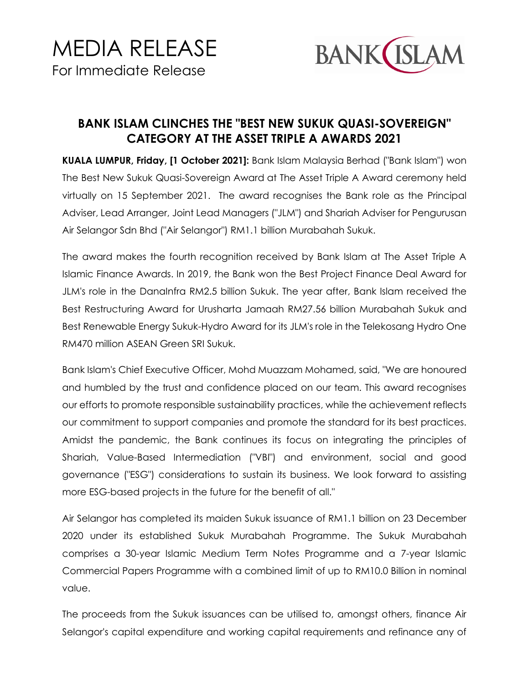

## **BANK ISLAM CLINCHES THE "BEST NEW SUKUK QUASI-SOVEREIGN" CATEGORY AT THE ASSET TRIPLE A AWARDS 2021**

**KUALA LUMPUR, Friday, [1 October 2021]:** Bank Islam Malaysia Berhad ("Bank Islam") won The Best New Sukuk Quasi-Sovereign Award at The Asset Triple A Award ceremony held virtually on 15 September 2021. The award recognises the Bank role as the Principal Adviser, Lead Arranger, Joint Lead Managers ("JLM") and Shariah Adviser for Pengurusan Air Selangor Sdn Bhd ("Air Selangor") RM1.1 billion Murabahah Sukuk.

The award makes the fourth recognition received by Bank Islam at The Asset Triple A Islamic Finance Awards. In 2019, the Bank won the Best Project Finance Deal Award for JLM's role in the DanaInfra RM2.5 billion Sukuk. The year after, Bank Islam received the Best Restructuring Award for Urusharta Jamaah RM27.56 billion Murabahah Sukuk and Best Renewable Energy Sukuk-Hydro Award for its JLM's role in the Telekosang Hydro One RM470 million ASEAN Green SRI Sukuk.

Bank Islam's Chief Executive Officer, Mohd Muazzam Mohamed, said, "We are honoured and humbled by the trust and confidence placed on our team. This award recognises our efforts to promote responsible sustainability practices, while the achievement reflects our commitment to support companies and promote the standard for its best practices. Amidst the pandemic, the Bank continues its focus on integrating the principles of Shariah, Value-Based Intermediation ("VBI") and environment, social and good governance ("ESG") considerations to sustain its business. We look forward to assisting more ESG-based projects in the future for the benefit of all."

Air Selangor has completed its maiden Sukuk issuance of RM1.1 billion on 23 December 2020 under its established Sukuk Murabahah Programme. The Sukuk Murabahah comprises a 30-year Islamic Medium Term Notes Programme and a 7-year Islamic Commercial Papers Programme with a combined limit of up to RM10.0 Billion in nominal value.

The proceeds from the Sukuk issuances can be utilised to, amongst others, finance Air Selangor's capital expenditure and working capital requirements and refinance any of